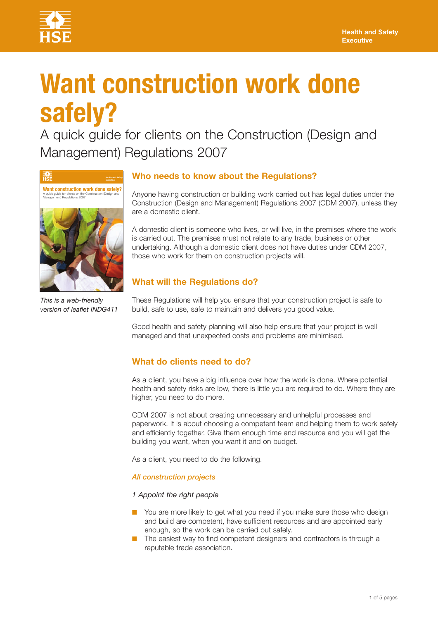

# **Want construction work done safely?**

A quick guide for clients on the Construction (Design and Management) Regulations 2007



This is a web-friendly *version of leaflet INDG411*

# **Who needs to know about the Regulations?**

Anyone having construction or building work carried out has legal duties under the Construction (Design and Management) Regulations 2007 (CDM 2007), unless they are a domestic client.

A domestic client is someone who lives, or will live, in the premises where the work is carried out. The premises must not relate to any trade, business or other undertaking. Although a domestic client does not have duties under CDM 2007, those who work for them on construction projects will.

# **What will the Regulations do?**

These Regulations will help you ensure that your construction project is safe to build, safe to use, safe to maintain and delivers you good value.

Good health and safety planning will also help ensure that your project is well managed and that unexpected costs and problems are minimised.

# **What do clients need to do?**

As a client, you have a big influence over how the work is done. Where potential health and safety risks are low, there is little you are required to do. Where they are higher, you need to do more.

CDM 2007 is not about creating unnecessary and unhelpful processes and paperwork. It is about choosing a competent team and helping them to work safely and efficiently together. Give them enough time and resource and you will get the building you want, when you want it and on budget.

As a client, you need to do the following.

*All construction projects*

*1 Appoint the right people*

- You are more likely to get what you need if you make sure those who design and build are competent, have sufficient resources and are appointed early enough, so the work can be carried out safely.
- The easiest way to find competent designers and contractors is through a reputable trade association.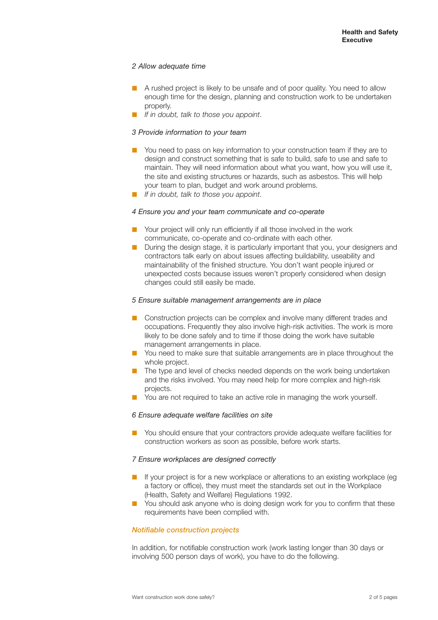# *2 Allow adequate time*

- A rushed project is likely to be unsafe and of poor quality. You need to allow enough time for the design, planning and construction work to be undertaken properly.
- **❋** *If in doubt, talk to those you appoint*.

# *3 Provide information to your team*

- You need to pass on key information to your construction team if they are to design and construct something that is safe to build, safe to use and safe to maintain. They will need information about what you want, how you will use it, the site and existing structures or hazards, such as asbestos. This will help your team to plan, budget and work around problems.
- **❋** *If in doubt, talk to those you appoint*.

# 4 Ensure you and your team communicate and co-operate

- Your project will only run efficiently if all those involved in the work communicate, co-operate and co-ordinate with each other.
- During the design stage, it is particularly important that you, your designers and contractors talk early on about issues affecting buildability, useability and maintainability of the finished structure. You don't want people injured or unexpected costs because issues weren't properly considered when design changes could still easily be made.

## *5 Ensure suitable management arrangements are in place*

- Construction projects can be complex and involve many different trades and occupations. Frequently they also involve high-risk activities. The work is more likely to be done safely and to time if those doing the work have suitable management arrangements in place.
- You need to make sure that suitable arrangements are in place throughout the whole project.
- **n** The type and level of checks needed depends on the work being undertaken and the risks involved. You may need help for more complex and high-risk projects.
- **❋** You are not required to take an active role in managing the work yourself.

## *6 Ensure adequate welfare facilities on site*

■ You should ensure that your contractors provide adequate welfare facilities for construction workers as soon as possible, before work starts.

## *7 Ensure workplaces are designed correctly*

- **❋** If your project is for a new workplace or alterations to an existing workplace (eg a factory or office), they must meet the standards set out in the Workplace (Health, Safety and Welfare) Regulations 1992.
- **■** You should ask anyone who is doing design work for you to confirm that these requirements have been complied with.

## *Notifiable construction projects*

In addition, for notifiable construction work (work lasting longer than 30 days or involving 500 person days of work), you have to do the following.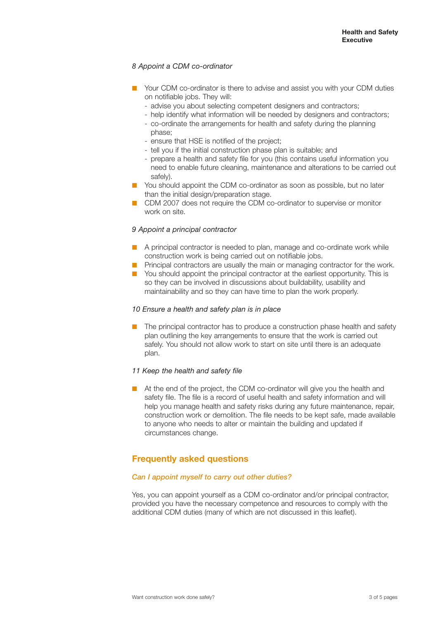# 8 Appoint a CDM co-ordinator

- Your CDM co-ordinator is there to advise and assist you with your CDM duties on notifiable jobs. They will:
	- advise you about selecting competent designers and contractors;
	- help identify what information will be needed by designers and contractors;
	- co-ordinate the arrangements for health and safety during the planning
	- phase;
	- ensure that HSE is notified of the project;
	- tell you if the initial construction phase plan is suitable; and
	- prepare a health and safety file for you (this contains useful information you need to enable future cleaning, maintenance and alterations to be carried out safely).
- You should appoint the CDM co-ordinator as soon as possible, but no later than the initial design/preparation stage.
- CDM 2007 does not require the CDM co-ordinator to supervise or monitor work on site.

# *9 Appoint a principal contractor*

- **A** principal contractor is needed to plan, manage and co-ordinate work while construction work is being carried out on notifiable jobs.
- **E** Principal contractors are usually the main or managing contractor for the work.
- You should appoint the principal contractor at the earliest opportunity. This is so they can be involved in discussions about buildability, usability and maintainability and so they can have time to plan the work properly.

## *10 Ensure a health and safety plan is in place*

■ The principal contractor has to produce a construction phase health and safety plan outlining the key arrangements to ensure that the work is carried out safely. You should not allow work to start on site until there is an adequate plan.

## *11 Keep the health and safety file*

**■** At the end of the project, the CDM co-ordinator will give you the health and safety file. The file is a record of useful health and safety information and will help you manage health and safety risks during any future maintenance, repair, construction work or demolition. The file needs to be kept safe, made available to anyone who needs to alter or maintain the building and updated if circumstances change.

# **Frequently asked questions**

## *Can I appoint myself to carry out other duties?*

Yes, you can appoint yourself as a CDM co-ordinator and/or principal contractor, provided you have the necessary competence and resources to comply with the additional CDM duties (many of which are not discussed in this leaflet).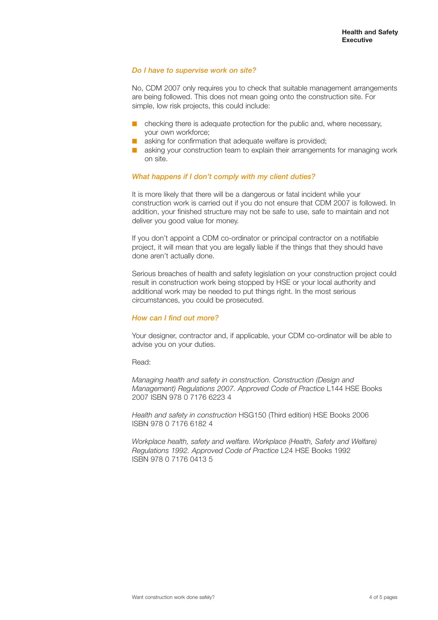# *Do I have to supervise work on site?*

No, CDM 2007 only requires you to check that suitable management arrangements are being followed. This does not mean going onto the construction site. For simple, low risk projects, this could include:

- checking there is adequate protection for the public and, where necessary, your own workforce;
- asking for confirmation that adequate welfare is provided;
- asking your construction team to explain their arrangements for managing work on site.

# *What happens if I don't comply with my client duties?*

It is more likely that there will be a dangerous or fatal incident while your construction work is carried out if you do not ensure that CDM 2007 is followed. In addition, your finished structure may not be safe to use, safe to maintain and not deliver you good value for money.

If you don't appoint a CDM co-ordinator or principal contractor on a notifiable project, it will mean that you are legally liable if the things that they should have done aren't actually done.

Serious breaches of health and safety legislation on your construction project could result in construction work being stopped by HSE or your local authority and additional work may be needed to put things right. In the most serious circumstances, you could be prosecuted.

# *How can I find out more?*

Your designer, contractor and, if applicable, your CDM co-ordinator will be able to advise you on your duties.

Read:

*Managing health and safety in construction. Construction (Design and Management) Regulations 2007. Approved Code of Practice* L144 HSE Books 2007 ISBN 978 0 7176 6223 4

*Health and safety in construction* HSG150 (Third edition) HSE Books 2006 ISBN 978 0 7176 6182 4

*Workplace health, safety and welfare. Workplace (Health, Safety and Welfare) Regulations 1992. Approved Code of Practice* L24 HSE Books 1992 ISBN 978 0 7176 0413 5